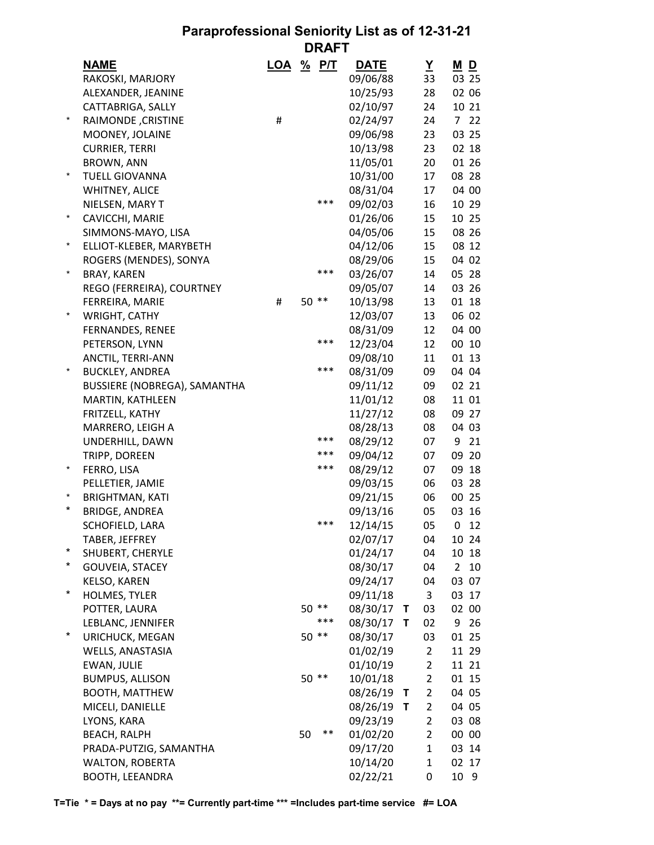## **Paraprofessional Seniority List as of 12-31-21 DRAFT**

|            | <b>NAME</b>                         | <b>LOA</b> | $\frac{9}{6}$ | <u>P/T</u> | <b>DATE</b> |              | Y              | $M$ D          |       |
|------------|-------------------------------------|------------|---------------|------------|-------------|--------------|----------------|----------------|-------|
|            | RAKOSKI, MARJORY                    |            |               |            | 09/06/88    |              | 33             |                | 03 25 |
|            | ALEXANDER, JEANINE                  |            |               |            | 10/25/93    |              | 28             |                | 02 06 |
|            | CATTABRIGA, SALLY                   |            |               |            | 02/10/97    |              | 24             |                | 10 21 |
| $^{\star}$ | RAIMONDE, CRISTINE                  | #          |               |            | 02/24/97    |              | 24             | 7              | 22    |
|            | MOONEY, JOLAINE                     |            |               |            | 09/06/98    |              | 23             |                | 03 25 |
|            | <b>CURRIER, TERRI</b>               |            |               |            | 10/13/98    |              | 23             |                | 02 18 |
|            | <b>BROWN, ANN</b>                   |            |               |            | 11/05/01    |              | 20             |                | 01 26 |
| $^\star$   | <b>TUELL GIOVANNA</b>               |            |               |            | 10/31/00    |              | 17             |                | 08 28 |
|            | WHITNEY, ALICE                      |            |               |            | 08/31/04    |              | 17             |                | 04 00 |
|            | NIELSEN, MARY T                     |            |               | ***        | 09/02/03    |              | 16             |                | 10 29 |
| $^\star$   | CAVICCHI, MARIE                     |            |               |            | 01/26/06    |              | 15             |                | 10 25 |
|            | SIMMONS-MAYO, LISA                  |            |               |            | 04/05/06    |              | 15             |                | 08 26 |
| $^\star$   | ELLIOT-KLEBER, MARYBETH             |            |               |            | 04/12/06    |              | 15             |                | 08 12 |
|            | ROGERS (MENDES), SONYA              |            |               |            | 08/29/06    |              | 15             |                | 04 02 |
| $^{\star}$ | <b>BRAY, KAREN</b>                  |            |               | ***        | 03/26/07    |              | 14             |                | 05 28 |
|            | REGO (FERREIRA), COURTNEY           |            |               |            | 09/05/07    |              | 14             |                | 03 26 |
|            | FERREIRA, MARIE                     | #          | $50**$        |            | 10/13/98    |              | 13             |                | 01 18 |
| $^\star$   | WRIGHT, CATHY                       |            |               |            | 12/03/07    |              | 13             |                | 06 02 |
|            | FERNANDES, RENEE                    |            |               |            | 08/31/09    |              | 12             |                | 04 00 |
|            | PETERSON, LYNN                      |            |               | ***        | 12/23/04    |              | 12             |                | 00 10 |
|            | ANCTIL, TERRI-ANN                   |            |               |            | 09/08/10    |              | 11             |                | 01 13 |
| $\ast$     | <b>BUCKLEY, ANDREA</b>              |            |               | ***        | 08/31/09    |              | 09             |                | 04 04 |
|            | <b>BUSSIERE (NOBREGA), SAMANTHA</b> |            |               |            | 09/11/12    |              | 09             |                | 02 21 |
|            | MARTIN, KATHLEEN                    |            |               |            | 11/01/12    |              | 08             |                | 11 01 |
|            | FRITZELL, KATHY                     |            |               |            | 11/27/12    |              | 08             |                | 09 27 |
|            | MARRERO, LEIGH A                    |            |               |            | 08/28/13    |              | 08             |                | 04 03 |
|            | UNDERHILL, DAWN                     |            |               | ***        | 08/29/12    |              | 07             | 9              | 21    |
|            | TRIPP, DOREEN                       |            |               | ***        | 09/04/12    |              | 07             |                | 09 20 |
| $^\star$   | FERRO, LISA                         |            |               | ***        | 08/29/12    |              | 07             | 09             | 18    |
|            | PELLETIER, JAMIE                    |            |               |            | 09/03/15    |              | 06             |                | 03 28 |
| $\ast$     | <b>BRIGHTMAN, KATI</b>              |            |               |            | 09/21/15    |              | 06             |                | 00 25 |
| $^\star$   | <b>BRIDGE, ANDREA</b>               |            |               |            | 09/13/16    |              | 05             |                | 03 16 |
|            | SCHOFIELD, LARA                     |            |               | ***        | 12/14/15    |              | 05             | 0              | 12    |
|            | TABER, JEFFREY                      |            |               |            | 02/07/17    |              | 04             |                | 10 24 |
| $^\star$   | SHUBERT, CHERYLE                    |            |               |            | 01/24/17    |              | 04             |                | 10 18 |
| $^\star$   | <b>GOUVEIA, STACEY</b>              |            |               |            | 08/30/17    |              | 04             | $\overline{2}$ | 10    |
|            | <b>KELSO, KAREN</b>                 |            |               |            | 09/24/17    |              | 04             |                | 03 07 |
| $^\star$   | <b>HOLMES, TYLER</b>                |            |               |            | 09/11/18    |              | 3              |                | 03 17 |
|            | POTTER, LAURA                       |            | $50**$        |            | 08/30/17    | $\mathbf{T}$ | 03             |                | 02 00 |
|            | LEBLANC, JENNIFER                   |            |               | ***        | 08/30/17    | $\mathbf{T}$ | 02             | 9              | 26    |
| $^\star$   | URICHUCK, MEGAN                     |            | $50**$        |            | 08/30/17    |              | 03             |                | 01 25 |
|            | WELLS, ANASTASIA                    |            |               |            | 01/02/19    |              | $\overline{2}$ |                | 11 29 |
|            | <b>EWAN, JULIE</b>                  |            |               |            | 01/10/19    |              | $\overline{2}$ |                | 11 21 |
|            | <b>BUMPUS, ALLISON</b>              |            | $50**$        |            | 10/01/18    |              | $\overline{2}$ |                | 01 15 |
|            | <b>BOOTH, MATTHEW</b>               |            |               |            | 08/26/19    | $\mathbf{T}$ | $\overline{2}$ |                | 04 05 |
|            | MICELI, DANIELLE                    |            |               |            | 08/26/19    | $\mathsf{T}$ | $\overline{2}$ |                | 04 05 |
|            | LYONS, KARA                         |            |               |            | 09/23/19    |              | $\overline{2}$ |                | 03 08 |
|            | <b>BEACH, RALPH</b>                 |            | 50            | **         | 01/02/20    |              | 2              |                | 00 00 |
|            | PRADA-PUTZIG, SAMANTHA              |            |               |            | 09/17/20    |              | $\mathbf{1}$   |                | 03 14 |
|            | <b>WALTON, ROBERTA</b>              |            |               |            | 10/14/20    |              | $\mathbf{1}$   |                | 02 17 |
|            | BOOTH, LEEANDRA                     |            |               |            | 02/22/21    |              | 0              |                | 10 9  |